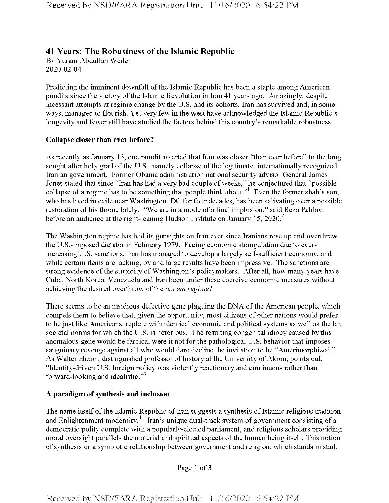# **41 Years: The Robustness of the Islamic Republic**

By Yuram Abdullah Weiler 2020-02-04

Predicting the imminent downfall of the Islamic Republic has been a staple among American pundits since the victory of the Islamic Revolution in Iran 41 years ago. Amazingly, despite incessant attempts at regime change by the U.S. and its cohorts, Iran has survived and, in some ways, managed to flourish. Yet very few in the west have acknowledged the Islamic Republic's longevity and fewer still have studied the factors behind this country's remarkable robustness.

### **Collapse closer than ever before?**

As recently as January 13, one pundit asserted that Iran was closer "than ever before" to the long sought after holy grail of the U.S., namely collapse of the legitimate, internationally recognized Iranian government. Former Obama administration national security advisor General James Jones stated that since "Iran has had a very bad couple of weeks," he conjectured that "possible collapse of a regime has to be something that people think about."<sup>1</sup> Even the former shah's son, who has lived in exile near Washington, DC for four decades, has been salivating over a possible restoration of his throne lately. "We are in a mode of a final implosion," said Reza Pahlavi before an audience at the right-leaning Hudson Institute on January 15, 2020.<sup>2</sup>

The Washington regime has had its gunsights on Iran ever since Iranians rose up and overthrew the U.S.-imposed dictator in February 1979. Facing economic strangulation due to everincreasing U.S. sanctions, Iran has managed to develop a largely self-sufficient economy, and while certain items are lacking, by and large results have been impressive. The sanctions are strong evidence ofthe stupidity of Washington's policymakers. After all, how many years have Cuba, North Korea, Venezuela and Iran been under these coercive economic measures without achieving the desired overthrow of the *ancien regime*?

There seems to be an insidious defective gene plaguing the DNA of the American people, which compels them to believe that, given the opportunity, most citizens of other nations would prefer to be just like Americans, replete with identical economic and political systems as well as the lax societal norms for which the U.S. is notorious. The resulting congenital idiocy caused by this anomalous gene would be farcical were it not for the pathological U.S. behavior that imposes sanguinary revenge against all who would dare decline the invitation to be "Amerimorphized." As Walter Hixon, distinguished professor of history at the University of Akron, points out, "Identity-driven U.S. foreign policy was violently reactionary and continuous rather than forward-looking and idealistic."3

## **A paradigm ofsynthesis and inclusion**

The name itself of the Islamic Republic of Iran suggests a synthesis of Islamic religious tradition and Enlightenment modernity.<sup>4</sup> Iran's unique dual-track system of government consisting of a democratic polity complete with a popularly-elected parliament, and religious scholars providing moral oversight parallels the material and spiritual aspects of the human being itself. This notion of synthesis or a symbiotic relationship between government and religion, which stands in stark

Page 1 of 3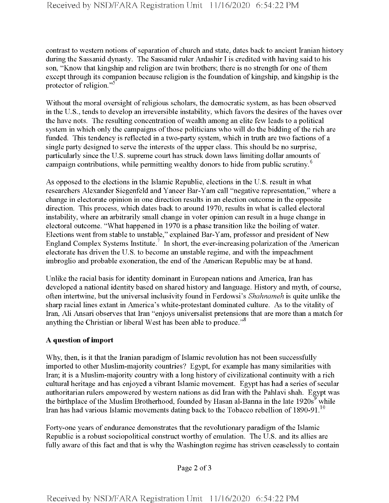contrast to western notions of separation of church and state, dates back to ancient Iranian history during the Sassanid dynasty. The Sassanid ruler Ardashir I is credited with having said to his son, "Know that kingship and religion are twin brothers; there is no strength for one of them except through its companion because religion is the foundation of kingship, and kingship is the protector of religion."<sup>5</sup>

Without the moral oversight of religious scholars, the democratic system, as has been observed in the U.S., tends to develop an irreversible instability, which favors the desires of the haves over the have nots. The resulting concentration ofwealth among an elite few leads to a political system in which only the campaigns of those politicians who will do the bidding of the rich are funded. This tendency is reflected in a two-party system, which in truth are two factions of a single party designed to serve the interests of the upper class. This should be no surprise, particularly since the U.S. supreme court has struck down laws limiting dollar amounts of campaign contributions, while permitting wealthy donors to hide from public scrutiny.<sup>6</sup>

As opposed to the elections in the Islamic Republic, elections in the U.S. result in what researchers Alexander Siegenfeld and Yaneer Bar-Yam call "negative representation," where a change in electorate opinion in one direction results in an election outcome in the opposite direction. This process, which dates back to around 1970, results in what is called electoral instability, where an arbitrarily small change in voter opinion can result in a huge change in electoral outcome. "What happened in 1970 is a phase transition like the boiling of water. Elections went from stable to unstable," explained Bar-Yam, professor and president of New England Complex Systems Institute.<sup>7</sup> In short, the ever-increasing polarization of the American electorate has driven the U.S. to become an unstable regime, and with the impeachment imbroglio and probable exoneration, the end of the American Republic may be at hand.

Unlike the racial basis for identity dominant in European nations and America, Iran has developed a national identity based on shared history and language. History and myth, of course, often intertwine, but the universal inclusivity found in Ferdowsi's *Shahnameh* is quite unlike the sharp racial lines extant in America's white-protestant dominated culture. As to the vitality of Iran, Ali Ansari observes that Iran "enjoys universalist pretensions that are more than a match for anything the Christian or liberal West has been able to produce."<sup>8</sup>

#### **A question ofimport**

Why, then, is it that the Iranian paradigm of Islamic revolution has not been successfully imported to other Muslim-majority countries? Egypt, for example has many similarities with Iran; it is a Muslim-majority country with a long history of civilizational continuity with a rich cultural heritage and has enjoyed a vibrant Islamic movement. Egypt has had a series of secular authoritarian rulers empowered by western nations as did Iran with the Pahlavi shah. Egypt was the birthplace of the Muslim Brotherhood, founded by Hasan al-Banna in the late 1920s<sup>9</sup> while Iran has had various Islamic movements dating back to the Tobacco rebellion of  $1890-91$ .<sup>10</sup>

Forty-one years of endurance demonstrates that the revolutionary paradigm of the Islamic Republic is a robust sociopolitical construct worthy of emulation. The U.S. and its allies are fully aware ofthis fact and that is why the Washington regime has striven ceaselessly to contain

Page 2 of <sup>3</sup>

**Received by NSD/FARA Registration Unit 11/16/2020 6:54:22 PM**